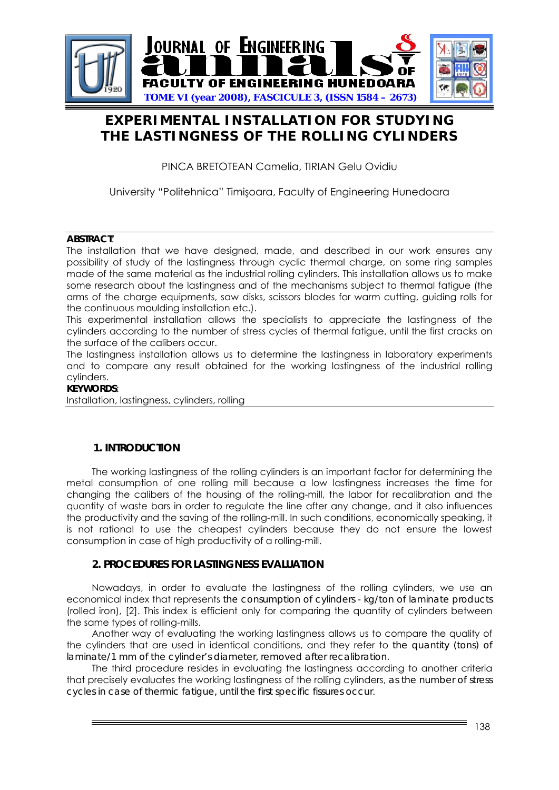

# **EXPERIMENTAL INSTALLATION FOR STUDYING THE LASTINGNESS OF THE ROLLING CYLINDERS**

PINCA BRETOTEAN Camelia, TIRIAN Gelu Ovidiu

University "Politehnica" Timişoara, Faculty of Engineering Hunedoara

### **ABSTRACT**:

The installation that we have designed, made, and described in our work ensures any possibility of study of the lastingness through cyclic thermal charge, on some ring samples made of the same material as the industrial rolling cylinders. This installation allows us to make some research about the lastingness and of the mechanisms subject to thermal fatigue (the arms of the charge equipments, saw disks, scissors blades for warm cutting, guiding rolls for the continuous moulding installation etc.).

This experimental installation allows the specialists to appreciate the lastingness of the cylinders according to the number of stress cycles of thermal fatigue, until the first cracks on the surface of the calibers occur.

The lastingness installation allows us to determine the lastingness in laboratory experiments and to compare any result obtained for the working lastingness of the industrial rolling cylinders.

### **KEYWORDS**:

Installation, lastingness, cylinders, rolling

# **1. INTRODUCTION**

The working lastingness of the rolling cylinders is an important factor for determining the metal consumption of one rolling mill because a low lastingness increases the time for changing the calibers of the housing of the rolling-mill, the labor for recalibration and the quantity of waste bars in order to regulate the line after any change, and it also influences the productivity and the saving of the rolling-mill. In such conditions, economically speaking, it is not rational to use the cheapest cylinders because they do not ensure the lowest consumption in case of high productivity of a rolling-mill.

# **2. PROCEDURES FOR LASTINGNESS EVALUATION**

Nowadays, in order to evaluate the lastingness of the rolling cylinders, we use an economical index that represents *the consumption of cylinders - kg/ton of laminate products* (rolled iron), [2]. This index is efficient only for comparing the quantity of cylinders between the same types of rolling-mills.

Another way of evaluating the working lastingness allows us to compare the quality of the cylinders that are used in identical conditions, and they refer to *the quantity (tons) of laminate/1 mm of the cylinder's diameter, removed after recalibration.* 

The third procedure resides in evaluating the lastingness according to another criteria that precisely evaluates the working lastingness of the rolling cylinders, *as the number of stress cycles in case of thermic fatigue, until the first specific fissures occur*.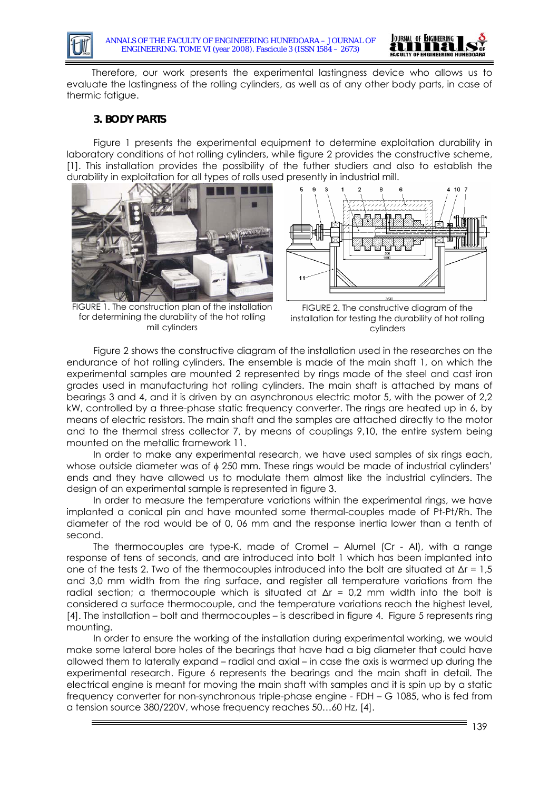

Therefore, our work presents the experimental lastingness device who allows us to evaluate the lastingness of the rolling cylinders, as well as of any other body parts, in case of thermic fatigue.

### **3. BODY PARTS**

Figure 1 presents the experimental equipment to determine exploitation durability in laboratory conditions of hot rolling cylinders, while figure 2 provides the constructive scheme, [1]. This installation provides the possibility of the futher studiers and also to establish the durability in exploitation for all types of rolls used presently in industrial mill.



FIGURE 1. The construction plan of the installation for determining the durability of the hot rolling mill cylinders



FIGURE 2. The constructive diagram of the installation for testing the durability of hot rolling cylinders

Figure 2 shows the constructive diagram of the installation used in the researches on the endurance of hot rolling cylinders. The ensemble is made of the main shaft 1, on which the experimental samples are mounted 2 represented by rings made of the steel and cast iron grades used in manufacturing hot rolling cylinders. The main shaft is attached by mans of bearings 3 and 4, and it is driven by an asynchronous electric motor 5, with the power of 2,2 kW, controlled by a three-phase static frequency converter. The rings are heated up in 6, by means of electric resistors. The main shaft and the samples are attached directly to the motor and to the thermal stress collector 7, by means of couplings 9,10, the entire system being mounted on the metallic framework 11.

In order to make any experimental research, we have used samples of six rings each, whose outside diameter was of φ 250 mm. These rings would be made of industrial cylinders' ends and they have allowed us to modulate them almost like the industrial cylinders. The design of an experimental sample is represented in figure 3.

In order to measure the temperature variations within the experimental rings, we have implanted a conical pin and have mounted some thermal-couples made of Pt-Pt/Rh. The diameter of the rod would be of 0, 06 mm and the response inertia lower than a tenth of second.

The thermocouples are type-K, made of Cromel – Alumel (Cr - Al), with a range response of tens of seconds, and are introduced into bolt 1 which has been implanted into one of the tests 2. Two of the thermocouples introduced into the bolt are situated at  $\Delta r = 1.5$ and 3,0 mm width from the ring surface, and register all temperature variations from the radial section; a thermocouple which is situated at  $Δr = 0.2$  mm width into the bolt is considered a surface thermocouple, and the temperature variations reach the highest level, [4]. The installation – bolt and thermocouples – is described in figure 4. Figure 5 represents ring mounting.

In order to ensure the working of the installation during experimental working, we would make some lateral bore holes of the bearings that have had a big diameter that could have allowed them to laterally expand – radial and axial – in case the axis is warmed up during the experimental research. Figure 6 represents the bearings and the main shaft in detail. The electrical engine is meant for moving the main shaft with samples and it is spin up by a static frequency converter for non-synchronous triple-phase engine - FDH – G 1085, who is fed from a tension source 380/220V, whose frequency reaches 50…60 Hz, [4].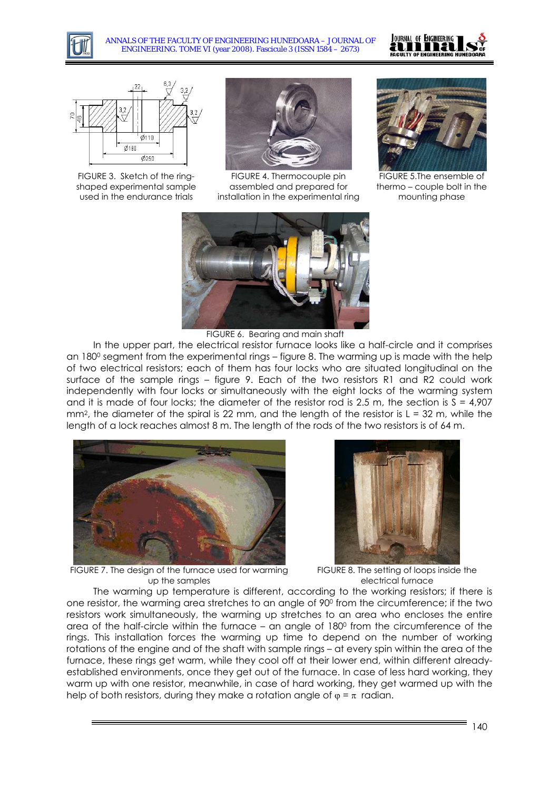





FIGURE 3. Sketch of the ringshaped experimental sample used in the endurance trials



FIGURE 4. Thermocouple pin assembled and prepared for installation in the experimental ring



FIGURE 5.The ensemble of thermo – couple bolt in the mounting phase



FIGURE 6. Bearing and main shaft

In the upper part, the electrical resistor furnace looks like a half-circle and it comprises an 180<sup>0</sup> segment from the experimental rings – figure 8. The warming up is made with the help of two electrical resistors; each of them has four locks who are situated longitudinal on the surface of the sample rings - figure 9. Each of the two resistors R1 and R2 could work independently with four locks or simultaneously with the eight locks of the warming system and it is made of four locks; the diameter of the resistor rod is 2.5 m, the section is  $S = 4,907$ mm<sup>2</sup>, the diameter of the spiral is 22 mm, and the length of the resistor is  $L = 32$  m, while the length of a lock reaches almost 8 m. The length of the rods of the two resistors is of 64 m.



FIGURE 7. The design of the furnace used for warming up the samples



FIGURE 8. The setting of loops inside the electrical furnace

The warming up temperature is different, according to the working resistors; if there is one resistor, the warming area stretches to an angle of 900 from the circumference; if the two resistors work simultaneously, the warming up stretches to an area who encloses the entire area of the half-circle within the furnace - an angle of 180<sup>0</sup> from the circumference of the rings. This installation forces the warming up time to depend on the number of working rotations of the engine and of the shaft with sample rings – at every spin within the area of the furnace, these rings get warm, while they cool off at their lower end, within different alreadyestablished environments, once they get out of the furnace. In case of less hard working, they warm up with one resistor, meanwhile, in case of hard working, they get warmed up with the help of both resistors, during they make a rotation angle of  $\varphi = \pi$  radian.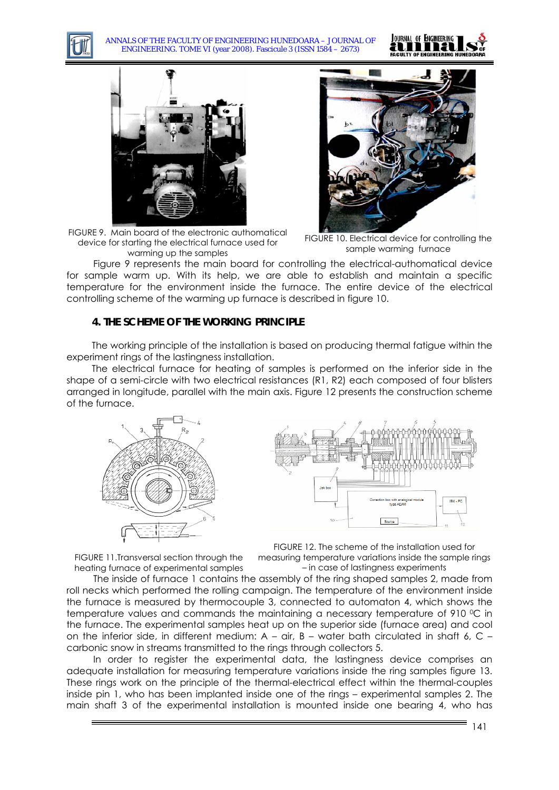

ANNALS OF THE FACULTY OF ENGINEERING HUNEDOARA – JOURNAL OF ENGINEERING. TOME VI (year 2008). Fascicule 3 (ISSN 1584 – 2673)





FIGURE 9. Main board of the electronic authomatical device for starting the electrical furnace used for warming up the samples

FIGURE 10. Electrical device for controlling the sample warming furnace

Figure 9 represents the main board for controlling the electrical-authomatical device for sample warm up. With its help, we are able to establish and maintain a specific temperature for the environment inside the furnace. The entire device of the electrical controlling scheme of the warming up furnace is described in figure 10.

### **4. THE SCHEME OF THE WORKING PRINCIPLE**

The working principle of the installation is based on producing thermal fatigue within the experiment rings of the lastingness installation.

The electrical furnace for heating of samples is performed on the inferior side in the shape of a semi-circle with two electrical resistances (R1, R2) each composed of four blisters arranged in longitude, parallel with the main axis. Figure 12 presents the construction scheme of the furnace.





FIGURE 12. The scheme of the installation used for measuring temperature variations inside the sample rings – in case of lastingness experiments

FIGURE 11.Transversal section through the heating furnace of experimental samples

The inside of furnace 1 contains the assembly of the ring shaped samples 2, made from roll necks which performed the rolling campaign. The temperature of the environment inside the furnace is measured by thermocouple 3, connected to automaton 4, which shows the temperature values and commands the maintaining a necessary temperature of 910 °C in the furnace. The experimental samples heat up on the superior side (furnace area) and cool on the inferior side, in different medium: A - air, B - water bath circulated in shaft 6, C carbonic snow in streams transmitted to the rings through collectors 5.

In order to register the experimental data, the lastingness device comprises an adequate installation for measuring temperature variations inside the ring samples figure 13. These rings work on the principle of the thermal-electrical effect within the thermal-couples inside pin 1, who has been implanted inside one of the rings – experimental samples 2. The main shaft 3 of the experimental installation is mounted inside one bearing 4, who has